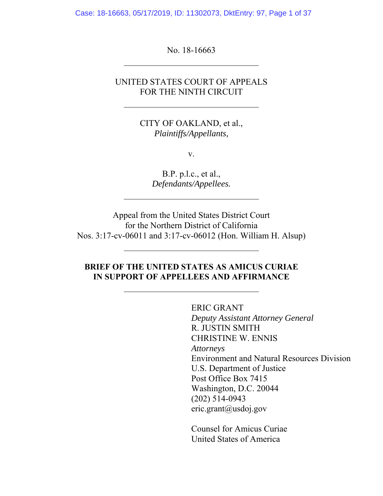Case: 18-16663, 05/17/2019, ID: 11302073, DktEntry: 97, Page 1 of 37

No. 18-16663

l,

 $\overline{a}$ 

### UNITED STATES COURT OF APPEALS FOR THE NINTH CIRCUIT

CITY OF OAKLAND, et al., *Plaintiffs/Appellants,* 

v.

B.P. p.l.c., et al., *Defendants/Appellees.*

Appeal from the United States District Court for the Northern District of California Nos. 3:17-cv-06011 and 3:17-cv-06012 (Hon. William H. Alsup)

### **BRIEF OF THE UNITED STATES AS AMICUS CURIAE IN SUPPORT OF APPELLEES AND AFFIRMANCE**

ERIC GRANT *Deputy Assistant Attorney General* R. JUSTIN SMITH CHRISTINE W. ENNIS *Attorneys*  Environment and Natural Resources Division U.S. Department of Justice Post Office Box 7415 Washington, D.C. 20044 (202) 514-0943 eric.grant@usdoj.gov

Counsel for Amicus Curiae United States of America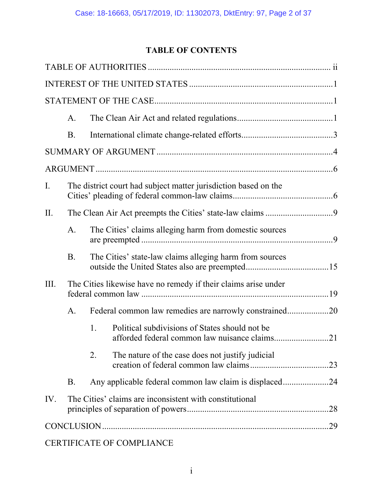# **TABLE OF CONTENTS**

|      | A.        |                                                                                                       |
|------|-----------|-------------------------------------------------------------------------------------------------------|
|      | B.        |                                                                                                       |
|      |           |                                                                                                       |
|      |           |                                                                                                       |
| I.   |           | The district court had subject matter jurisdiction based on the                                       |
| II.  |           |                                                                                                       |
|      | A.        | The Cities' claims alleging harm from domestic sources                                                |
|      | <b>B.</b> | The Cities' state-law claims alleging harm from sources                                               |
| III. |           | The Cities likewise have no remedy if their claims arise under                                        |
|      | A.        | Federal common law remedies are narrowly constrained20                                                |
|      |           | Political subdivisions of States should not be<br>1.<br>afforded federal common law nuisance claims21 |
|      |           | 2.<br>The nature of the case does not justify judicial<br>.23                                         |
|      | <b>B.</b> | Any applicable federal common law claim is displaced24                                                |
| IV.  |           | The Cities' claims are inconsistent with constitutional                                               |
|      |           |                                                                                                       |
|      |           | CERTIFICATE OF COMPLIANCE                                                                             |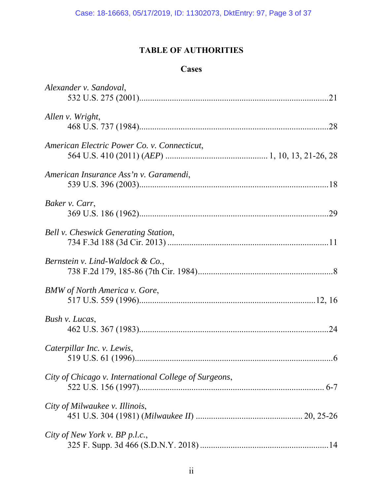# **TABLE OF AUTHORITIES**

### **Cases**

| Alexander v. Sandoval,                                |
|-------------------------------------------------------|
| Allen v. Wright,                                      |
| American Electric Power Co. v. Connecticut,           |
| American Insurance Ass'n v. Garamendi,                |
| Baker v. Carr,                                        |
| Bell v. Cheswick Generating Station,                  |
| Bernstein v. Lind-Waldock & Co.,                      |
| <b>BMW</b> of North America v. Gore,                  |
| Bush v. Lucas,                                        |
| Caterpillar Inc. v. Lewis,                            |
| City of Chicago v. International College of Surgeons, |
| City of Milwaukee v. Illinois,                        |
| City of New York v. BP p.l.c.,                        |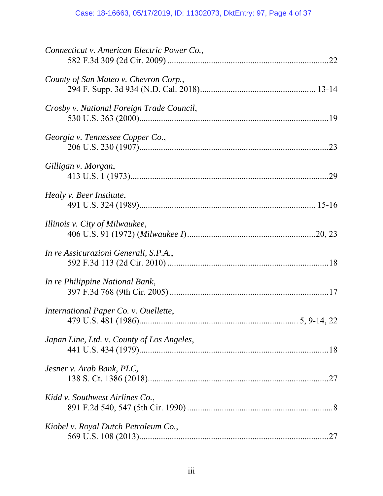# Case: 18-16663, 05/17/2019, ID: 11302073, DktEntry: 97, Page 4 of 37

| Connecticut v. American Electric Power Co., |
|---------------------------------------------|
| County of San Mateo v. Chevron Corp.,       |
| Crosby v. National Foreign Trade Council,   |
| Georgia v. Tennessee Copper Co.,            |
| Gilligan v. Morgan,                         |
| Healy v. Beer Institute,                    |
| Illinois v. City of Milwaukee,              |
| In re Assicurazioni Generali, S.P.A.,       |
| In re Philippine National Bank,             |
| International Paper Co. v. Ouellette,       |
| Japan Line, Ltd. v. County of Los Angeles,  |
| Jesner v. Arab Bank, PLC,                   |
| Kidd v. Southwest Airlines Co.,             |
| Kiobel v. Royal Dutch Petroleum Co.,        |
|                                             |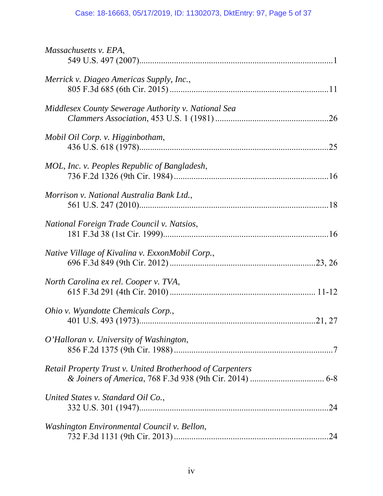# Case: 18-16663, 05/17/2019, ID: 11302073, DktEntry: 97, Page 5 of 37

| Massachusetts v. EPA,                                            |     |
|------------------------------------------------------------------|-----|
| Merrick v. Diageo Americas Supply, Inc.,                         |     |
| Middlesex County Sewerage Authority v. National Sea              |     |
| Mobil Oil Corp. v. Higginbotham,                                 |     |
| MOL, Inc. v. Peoples Republic of Bangladesh,                     |     |
| Morrison v. National Australia Bank Ltd.,                        |     |
| National Foreign Trade Council v. Natsios,                       |     |
| Native Village of Kivalina v. ExxonMobil Corp.,                  |     |
| North Carolina ex rel. Cooper v. TVA,                            |     |
| Ohio v. Wyandotte Chemicals Corp.,                               |     |
| O'Halloran v. University of Washington,                          |     |
| <b>Retail Property Trust v. United Brotherhood of Carpenters</b> |     |
| United States v. Standard Oil Co.,                               |     |
| Washington Environmental Council v. Bellon,                      | .24 |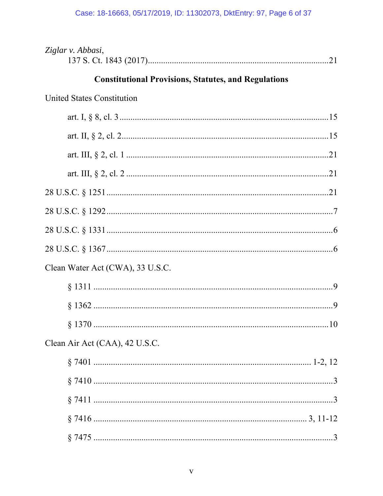# Case: 18-16663, 05/17/2019, ID: 11302073, DktEntry: 97, Page 6 of 37

| Ziglar v. Abbasi,                                           |
|-------------------------------------------------------------|
| <b>Constitutional Provisions, Statutes, and Regulations</b> |
| <b>United States Constitution</b>                           |
|                                                             |
|                                                             |
|                                                             |
|                                                             |
|                                                             |
|                                                             |
|                                                             |
|                                                             |
| Clean Water Act (CWA), 33 U.S.C.                            |
|                                                             |
|                                                             |
| . 10                                                        |
| Clean Air Act (CAA), 42 U.S.C.                              |
|                                                             |
|                                                             |
|                                                             |
|                                                             |
|                                                             |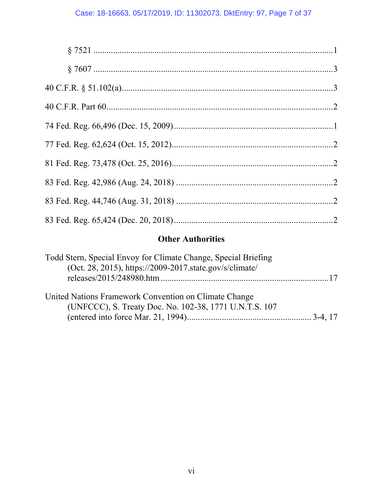# **Other Authorities**

| Todd Stern, Special Envoy for Climate Change, Special Briefing<br>(Oct. 28, 2015), https://2009-2017.state.gov/s/climate/ |  |
|---------------------------------------------------------------------------------------------------------------------------|--|
| United Nations Framework Convention on Climate Change<br>(UNFCCC), S. Treaty Doc. No. 102-38, 1771 U.N.T.S. 107           |  |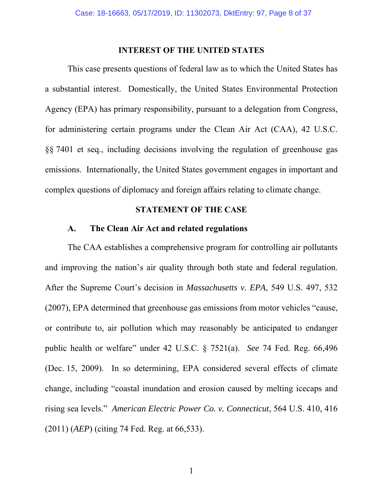#### **INTEREST OF THE UNITED STATES**

 This case presents questions of federal law as to which the United States has a substantial interest. Domestically, the United States Environmental Protection Agency (EPA) has primary responsibility, pursuant to a delegation from Congress, for administering certain programs under the Clean Air Act (CAA), 42 U.S.C. §§ 7401 et seq., including decisions involving the regulation of greenhouse gas emissions. Internationally, the United States government engages in important and complex questions of diplomacy and foreign affairs relating to climate change.

### **STATEMENT OF THE CASE**

### **A. The Clean Air Act and related regulations**

 The CAA establishes a comprehensive program for controlling air pollutants and improving the nation's air quality through both state and federal regulation. After the Supreme Court's decision in *Massachusetts v. EPA*, 549 U.S. 497, 532 (2007), EPA determined that greenhouse gas emissions from motor vehicles "cause, or contribute to, air pollution which may reasonably be anticipated to endanger public health or welfare" under 42 U.S.C. § 7521(a). *See* 74 Fed. Reg. 66,496 (Dec. 15, 2009). In so determining, EPA considered several effects of climate change, including "coastal inundation and erosion caused by melting icecaps and rising sea levels." *American Electric Power Co. v. Connecticut*, 564 U.S. 410, 416 (2011) (*AEP*) (citing 74 Fed. Reg. at 66,533).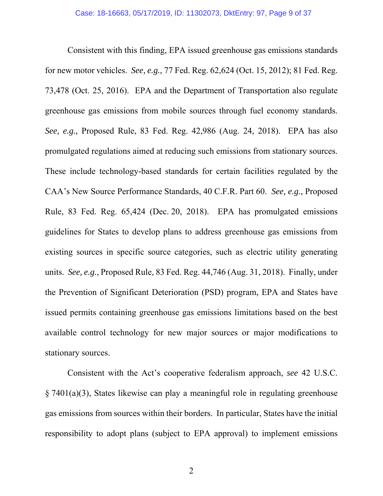Consistent with this finding, EPA issued greenhouse gas emissions standards for new motor vehicles. *See, e.g.*, 77 Fed. Reg. 62,624 (Oct. 15, 2012); 81 Fed. Reg. 73,478 (Oct. 25, 2016). EPA and the Department of Transportation also regulate greenhouse gas emissions from mobile sources through fuel economy standards. *See, e.g.,* Proposed Rule, 83 Fed. Reg. 42,986 (Aug. 24, 2018). EPA has also promulgated regulations aimed at reducing such emissions from stationary sources. These include technology-based standards for certain facilities regulated by the CAA's New Source Performance Standards, 40 C.F.R. Part 60. *See, e.g.*, Proposed Rule, 83 Fed. Reg. 65,424 (Dec. 20, 2018). EPA has promulgated emissions guidelines for States to develop plans to address greenhouse gas emissions from existing sources in specific source categories, such as electric utility generating units. *See, e.g.*, Proposed Rule, 83 Fed. Reg. 44,746 (Aug. 31, 2018). Finally, under the Prevention of Significant Deterioration (PSD) program, EPA and States have issued permits containing greenhouse gas emissions limitations based on the best available control technology for new major sources or major modifications to stationary sources.

 Consistent with the Act's cooperative federalism approach, *see* 42 U.S.C. § 7401(a)(3), States likewise can play a meaningful role in regulating greenhouse gas emissions from sources within their borders. In particular, States have the initial responsibility to adopt plans (subject to EPA approval) to implement emissions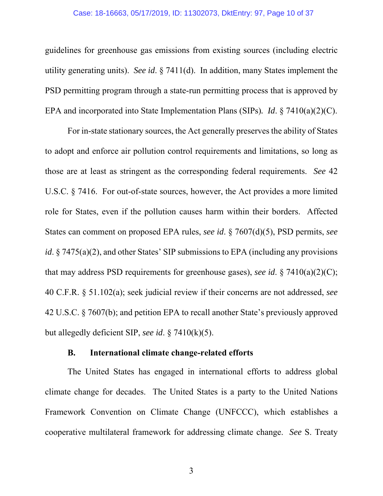#### Case: 18-16663, 05/17/2019, ID: 11302073, DktEntry: 97, Page 10 of 37

guidelines for greenhouse gas emissions from existing sources (including electric utility generating units). *See id*. § 7411(d). In addition, many States implement the PSD permitting program through a state-run permitting process that is approved by EPA and incorporated into State Implementation Plans (SIPs)*. Id*. § 7410(a)(2)(C).

 For in-state stationary sources, the Act generally preserves the ability of States to adopt and enforce air pollution control requirements and limitations, so long as those are at least as stringent as the corresponding federal requirements. *See* 42 U.S.C. § 7416. For out-of-state sources, however, the Act provides a more limited role for States, even if the pollution causes harm within their borders. Affected States can comment on proposed EPA rules, *see id*. § 7607(d)(5), PSD permits, *see id*. § 7475(a)(2), and other States' SIP submissions to EPA (including any provisions that may address PSD requirements for greenhouse gases), *see id*. § 7410(a)(2)(C); 40 C.F.R. § 51.102(a); seek judicial review if their concerns are not addressed, *see*  42 U.S.C. § 7607(b); and petition EPA to recall another State's previously approved but allegedly deficient SIP, *see id*. § 7410(k)(5).

### **B. International climate change-related efforts**

 The United States has engaged in international efforts to address global climate change for decades. The United States is a party to the United Nations Framework Convention on Climate Change (UNFCCC), which establishes a cooperative multilateral framework for addressing climate change. *See* S. Treaty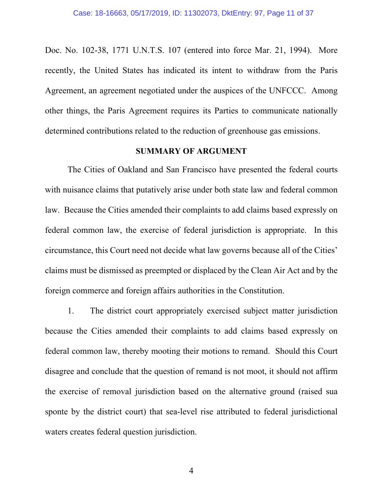Doc. No. 102-38, 1771 U.N.T.S. 107 (entered into force Mar. 21, 1994). More recently, the United States has indicated its intent to withdraw from the Paris Agreement, an agreement negotiated under the auspices of the UNFCCC. Among other things, the Paris Agreement requires its Parties to communicate nationally determined contributions related to the reduction of greenhouse gas emissions.

#### **SUMMARY OF ARGUMENT**

 The Cities of Oakland and San Francisco have presented the federal courts with nuisance claims that putatively arise under both state law and federal common law. Because the Cities amended their complaints to add claims based expressly on federal common law, the exercise of federal jurisdiction is appropriate. In this circumstance, this Court need not decide what law governs because all of the Cities' claims must be dismissed as preempted or displaced by the Clean Air Act and by the foreign commerce and foreign affairs authorities in the Constitution.

1. The district court appropriately exercised subject matter jurisdiction because the Cities amended their complaints to add claims based expressly on federal common law, thereby mooting their motions to remand. Should this Court disagree and conclude that the question of remand is not moot, it should not affirm the exercise of removal jurisdiction based on the alternative ground (raised sua sponte by the district court) that sea-level rise attributed to federal jurisdictional waters creates federal question jurisdiction.

4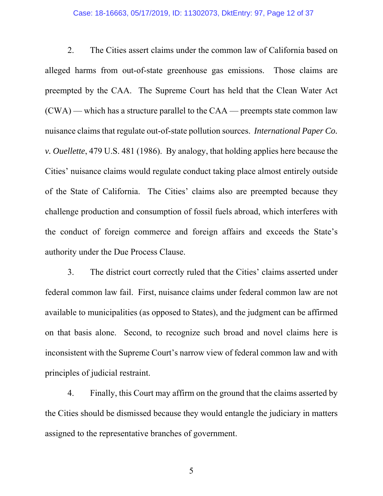#### Case: 18-16663, 05/17/2019, ID: 11302073, DktEntry: 97, Page 12 of 37

2. The Cities assert claims under the common law of California based on alleged harms from out-of-state greenhouse gas emissions. Those claims are preempted by the CAA. The Supreme Court has held that the Clean Water Act (CWA) — which has a structure parallel to the CAA — preempts state common law nuisance claims that regulate out-of-state pollution sources. *International Paper Co. v. Ouellette*, 479 U.S. 481 (1986). By analogy, that holding applies here because the Cities' nuisance claims would regulate conduct taking place almost entirely outside of the State of California. The Cities' claims also are preempted because they challenge production and consumption of fossil fuels abroad, which interferes with the conduct of foreign commerce and foreign affairs and exceeds the State's authority under the Due Process Clause.

 3. The district court correctly ruled that the Cities' claims asserted under federal common law fail. First, nuisance claims under federal common law are not available to municipalities (as opposed to States), and the judgment can be affirmed on that basis alone. Second, to recognize such broad and novel claims here is inconsistent with the Supreme Court's narrow view of federal common law and with principles of judicial restraint.

 4. Finally, this Court may affirm on the ground that the claims asserted by the Cities should be dismissed because they would entangle the judiciary in matters assigned to the representative branches of government.

5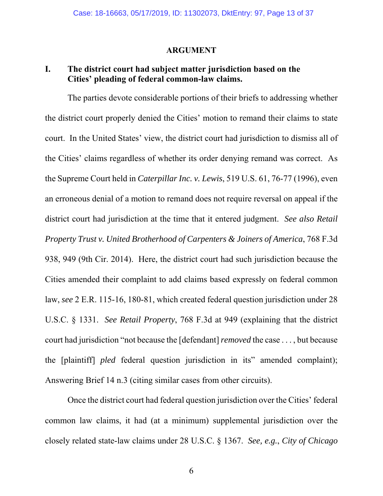#### **ARGUMENT**

### **I. The district court had subject matter jurisdiction based on the Cities' pleading of federal common-law claims.**

The parties devote considerable portions of their briefs to addressing whether the district court properly denied the Cities' motion to remand their claims to state court. In the United States' view, the district court had jurisdiction to dismiss all of the Cities' claims regardless of whether its order denying remand was correct. As the Supreme Court held in *Caterpillar Inc. v. Lewis*, 519 U.S. 61, 76-77 (1996), even an erroneous denial of a motion to remand does not require reversal on appeal if the district court had jurisdiction at the time that it entered judgment. *See also Retail Property Trust v. United Brotherhood of Carpenters & Joiners of America*, 768 F.3d 938, 949 (9th Cir. 2014). Here, the district court had such jurisdiction because the Cities amended their complaint to add claims based expressly on federal common law, *see* 2 E.R. 115-16, 180-81, which created federal question jurisdiction under 28 U.S.C. § 1331. *See Retail Property*, 768 F.3d at 949 (explaining that the district court had jurisdiction "not because the [defendant] *removed* the case . . . , but because the [plaintiff] *pled* federal question jurisdiction in its" amended complaint); Answering Brief 14 n.3 (citing similar cases from other circuits).

Once the district court had federal question jurisdiction over the Cities' federal common law claims, it had (at a minimum) supplemental jurisdiction over the closely related state-law claims under 28 U.S.C. § 1367. *See, e.g.*, *City of Chicago*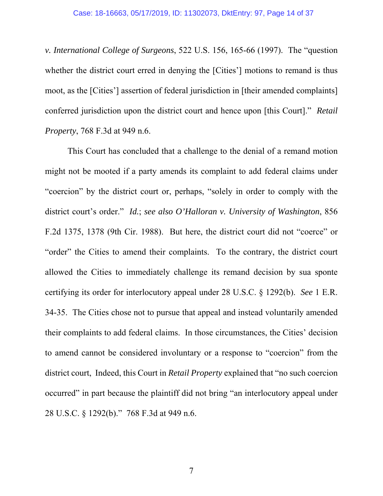*v. International College of Surgeons*, 522 U.S. 156, 165-66 (1997). The "question whether the district court erred in denying the [Cities'] motions to remand is thus moot, as the [Cities'] assertion of federal jurisdiction in [their amended complaints] conferred jurisdiction upon the district court and hence upon [this Court]." *Retail Property*, 768 F.3d at 949 n.6.

This Court has concluded that a challenge to the denial of a remand motion might not be mooted if a party amends its complaint to add federal claims under "coercion" by the district court or, perhaps, "solely in order to comply with the district court's order." *Id.*; *see also O'Halloran v. University of Washington*, 856 F.2d 1375, 1378 (9th Cir. 1988). But here, the district court did not "coerce" or "order" the Cities to amend their complaints. To the contrary, the district court allowed the Cities to immediately challenge its remand decision by sua sponte certifying its order for interlocutory appeal under 28 U.S.C. § 1292(b). *See* 1 E.R. 34-35. The Cities chose not to pursue that appeal and instead voluntarily amended their complaints to add federal claims. In those circumstances, the Cities' decision to amend cannot be considered involuntary or a response to "coercion" from the district court, Indeed, this Court in *Retail Property* explained that "no such coercion occurred" in part because the plaintiff did not bring "an interlocutory appeal under 28 U.S.C. § 1292(b)." 768 F.3d at 949 n.6.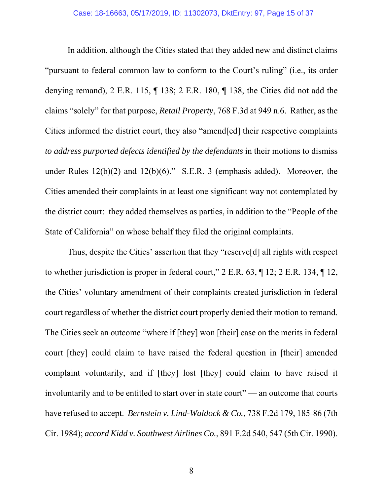In addition, although the Cities stated that they added new and distinct claims "pursuant to federal common law to conform to the Court's ruling" (i.e., its order denying remand), 2 E.R. 115, ¶ 138; 2 E.R. 180, ¶ 138, the Cities did not add the claims "solely" for that purpose, *Retail Property*, 768 F.3d at 949 n.6. Rather, as the Cities informed the district court, they also "amend[ed] their respective complaints *to address purported defects identified by the defendants* in their motions to dismiss under Rules 12(b)(2) and 12(b)(6)." S.E.R. 3 (emphasis added). Moreover, the Cities amended their complaints in at least one significant way not contemplated by the district court: they added themselves as parties, in addition to the "People of the State of California" on whose behalf they filed the original complaints.

Thus, despite the Cities' assertion that they "reserve[d] all rights with respect to whether jurisdiction is proper in federal court," 2 E.R. 63, ¶ 12; 2 E.R. 134, ¶ 12, the Cities' voluntary amendment of their complaints created jurisdiction in federal court regardless of whether the district court properly denied their motion to remand. The Cities seek an outcome "where if [they] won [their] case on the merits in federal court [they] could claim to have raised the federal question in [their] amended complaint voluntarily, and if [they] lost [they] could claim to have raised it involuntarily and to be entitled to start over in state court" — an outcome that courts have refused to accept. *Bernstein v. Lind-Waldock & Co.*, 738 F.2d 179, 185-86 (7th Cir. 1984); *accord Kidd v. Southwest Airlines Co.*, 891 F.2d 540, 547 (5th Cir. 1990).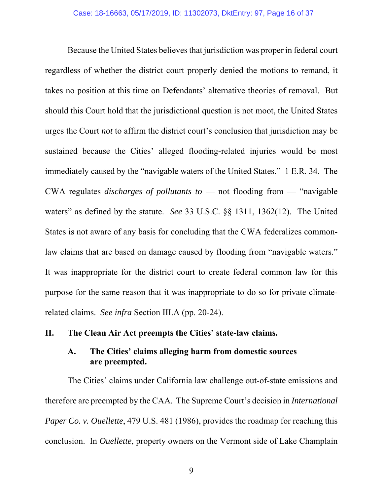Because the United States believes that jurisdiction was proper in federal court regardless of whether the district court properly denied the motions to remand, it takes no position at this time on Defendants' alternative theories of removal. But should this Court hold that the jurisdictional question is not moot, the United States urges the Court *not* to affirm the district court's conclusion that jurisdiction may be sustained because the Cities' alleged flooding-related injuries would be most immediately caused by the "navigable waters of the United States." 1 E.R. 34. The CWA regulates *discharges of pollutants to* — not flooding from — "navigable waters" as defined by the statute. *See* 33 U.S.C. §§ 1311, 1362(12). The United States is not aware of any basis for concluding that the CWA federalizes commonlaw claims that are based on damage caused by flooding from "navigable waters." It was inappropriate for the district court to create federal common law for this purpose for the same reason that it was inappropriate to do so for private climaterelated claims. *See infra* Section III.A (pp. 20-24).

### **II. The Clean Air Act preempts the Cities' state-law claims.**

## **A. The Cities' claims alleging harm from domestic sources are preempted.**

 The Cities' claims under California law challenge out-of-state emissions and therefore are preempted by the CAA. The Supreme Court's decision in *International Paper Co. v. Ouellette*, 479 U.S. 481 (1986), provides the roadmap for reaching this conclusion. In *Ouellette*, property owners on the Vermont side of Lake Champlain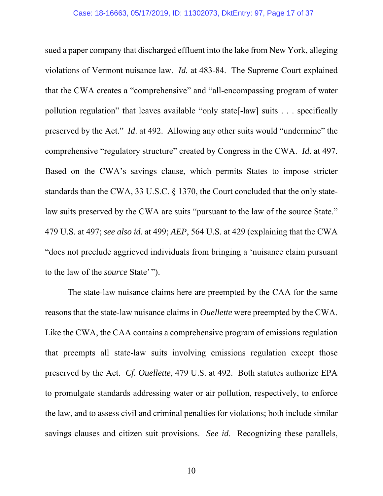sued a paper company that discharged effluent into the lake from New York, alleging violations of Vermont nuisance law. *Id.* at 483-84. The Supreme Court explained that the CWA creates a "comprehensive" and "all-encompassing program of water pollution regulation" that leaves available "only state[-law] suits . . . specifically preserved by the Act." *Id*. at 492. Allowing any other suits would "undermine" the comprehensive "regulatory structure" created by Congress in the CWA. *Id*. at 497. Based on the CWA's savings clause, which permits States to impose stricter standards than the CWA, 33 U.S.C. § 1370, the Court concluded that the only statelaw suits preserved by the CWA are suits "pursuant to the law of the source State." 479 U.S. at 497; *see also id*. at 499; *AEP*, 564 U.S. at 429 (explaining that the CWA "does not preclude aggrieved individuals from bringing a 'nuisance claim pursuant to the law of the *source* State' ").

 The state-law nuisance claims here are preempted by the CAA for the same reasons that the state-law nuisance claims in *Ouellette* were preempted by the CWA. Like the CWA, the CAA contains a comprehensive program of emissions regulation that preempts all state-law suits involving emissions regulation except those preserved by the Act. *Cf. Ouellette*, 479 U.S. at 492. Both statutes authorize EPA to promulgate standards addressing water or air pollution, respectively, to enforce the law, and to assess civil and criminal penalties for violations; both include similar savings clauses and citizen suit provisions. *See id*. Recognizing these parallels,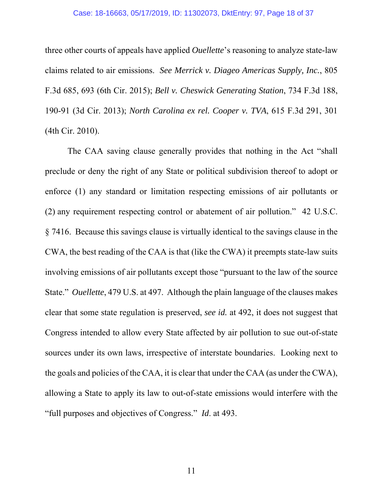#### Case: 18-16663, 05/17/2019, ID: 11302073, DktEntry: 97, Page 18 of 37

three other courts of appeals have applied *Ouellette*'s reasoning to analyze state-law claims related to air emissions. *See Merrick v. Diageo Americas Supply, Inc.*, 805 F.3d 685, 693 (6th Cir. 2015); *Bell v. Cheswick Generating Station*, 734 F.3d 188, 190-91 (3d Cir. 2013); *North Carolina ex rel. Cooper v. TVA*, 615 F.3d 291, 301 (4th Cir. 2010).

 The CAA saving clause generally provides that nothing in the Act "shall preclude or deny the right of any State or political subdivision thereof to adopt or enforce (1) any standard or limitation respecting emissions of air pollutants or (2) any requirement respecting control or abatement of air pollution." 42 U.S.C. § 7416. Because this savings clause is virtually identical to the savings clause in the CWA, the best reading of the CAA is that (like the CWA) it preempts state-law suits involving emissions of air pollutants except those "pursuant to the law of the source State." *Ouellette*, 479 U.S. at 497. Although the plain language of the clauses makes clear that some state regulation is preserved, *see id.* at 492, it does not suggest that Congress intended to allow every State affected by air pollution to sue out-of-state sources under its own laws, irrespective of interstate boundaries. Looking next to the goals and policies of the CAA, it is clear that under the CAA (as under the CWA), allowing a State to apply its law to out-of-state emissions would interfere with the "full purposes and objectives of Congress." *Id*. at 493.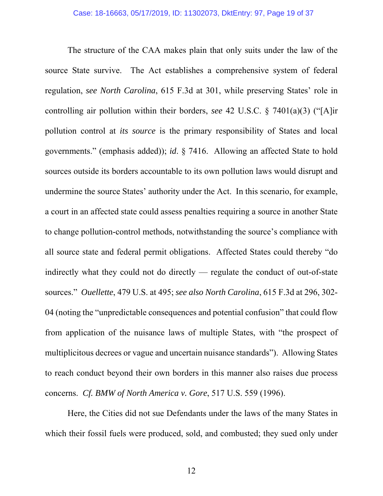The structure of the CAA makes plain that only suits under the law of the source State survive. The Act establishes a comprehensive system of federal regulation, *see North Carolina*, 615 F.3d at 301, while preserving States' role in controlling air pollution within their borders, *see* 42 U.S.C. § 7401(a)(3) ("[A]ir pollution control at *its source* is the primary responsibility of States and local governments." (emphasis added)); *id*. § 7416. Allowing an affected State to hold sources outside its borders accountable to its own pollution laws would disrupt and undermine the source States' authority under the Act. In this scenario, for example, a court in an affected state could assess penalties requiring a source in another State to change pollution-control methods, notwithstanding the source's compliance with all source state and federal permit obligations. Affected States could thereby "do indirectly what they could not do directly ⸻ regulate the conduct of out-of-state sources." *Ouellette*, 479 U.S. at 495; *see also North Carolina*, 615 F.3d at 296, 302- 04 (noting the "unpredictable consequences and potential confusion" that could flow from application of the nuisance laws of multiple States, with "the prospect of multiplicitous decrees or vague and uncertain nuisance standards"). Allowing States to reach conduct beyond their own borders in this manner also raises due process concerns. *Cf. BMW of North America v. Gore*, 517 U.S. 559 (1996).

 Here, the Cities did not sue Defendants under the laws of the many States in which their fossil fuels were produced, sold, and combusted; they sued only under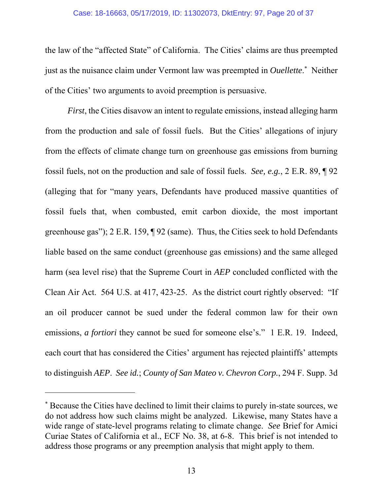#### Case: 18-16663, 05/17/2019, ID: 11302073, DktEntry: 97, Page 20 of 37

the law of the "affected State" of California. The Cities' claims are thus preempted just as the nuisance claim under Vermont law was preempted in *Ouellette*.<sup>\*</sup> Neither of the Cities' two arguments to avoid preemption is persuasive.

*First*, the Cities disavow an intent to regulate emissions, instead alleging harm from the production and sale of fossil fuels. But the Cities' allegations of injury from the effects of climate change turn on greenhouse gas emissions from burning fossil fuels, not on the production and sale of fossil fuels. *See, e.g.*, 2 E.R. 89, ¶ 92 (alleging that for "many years, Defendants have produced massive quantities of fossil fuels that, when combusted, emit carbon dioxide, the most important greenhouse gas"); 2 E.R. 159, ¶ 92 (same). Thus, the Cities seek to hold Defendants liable based on the same conduct (greenhouse gas emissions) and the same alleged harm (sea level rise) that the Supreme Court in *AEP* concluded conflicted with the Clean Air Act. 564 U.S. at 417, 423-25. As the district court rightly observed: "If an oil producer cannot be sued under the federal common law for their own emissions, *a fortiori* they cannot be sued for someone else's." 1 E.R. 19. Indeed, each court that has considered the Cities' argument has rejected plaintiffs' attempts to distinguish *AEP*. *See id.*; *County of San Mateo v. Chevron Corp.*, 294 F. Supp. 3d

l

<sup>\*</sup> Because the Cities have declined to limit their claims to purely in-state sources, we do not address how such claims might be analyzed. Likewise, many States have a wide range of state-level programs relating to climate change. *See* Brief for Amici Curiae States of California et al., ECF No. 38, at 6-8. This brief is not intended to address those programs or any preemption analysis that might apply to them.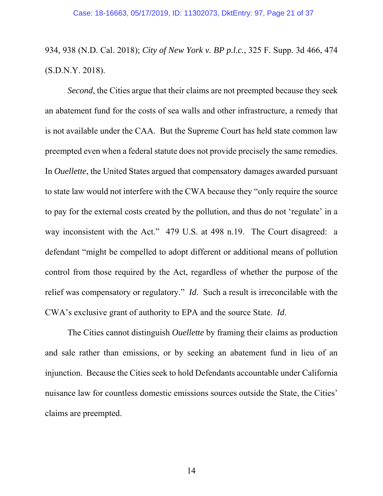# 934, 938 (N.D. Cal. 2018); *City of New York v. BP p.l.c.*, 325 F. Supp. 3d 466, 474 (S.D.N.Y. 2018).

*Second*, the Cities argue that their claims are not preempted because they seek an abatement fund for the costs of sea walls and other infrastructure, a remedy that is not available under the CAA. But the Supreme Court has held state common law preempted even when a federal statute does not provide precisely the same remedies. In *Ouellette*, the United States argued that compensatory damages awarded pursuant to state law would not interfere with the CWA because they "only require the source to pay for the external costs created by the pollution, and thus do not 'regulate' in a way inconsistent with the Act." 479 U.S. at 498 n.19. The Court disagreed: a defendant "might be compelled to adopt different or additional means of pollution control from those required by the Act, regardless of whether the purpose of the relief was compensatory or regulatory." *Id*. Such a result is irreconcilable with the CWA's exclusive grant of authority to EPA and the source State. *Id*.

 The Cities cannot distinguish *Ouellette* by framing their claims as production and sale rather than emissions, or by seeking an abatement fund in lieu of an injunction. Because the Cities seek to hold Defendants accountable under California nuisance law for countless domestic emissions sources outside the State, the Cities' claims are preempted.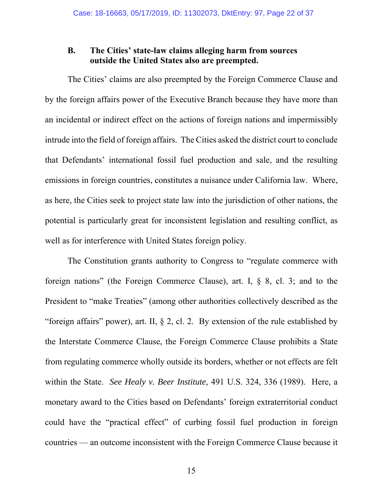### **B. The Cities' state-law claims alleging harm from sources outside the United States also are preempted.**

 The Cities' claims are also preempted by the Foreign Commerce Clause and by the foreign affairs power of the Executive Branch because they have more than an incidental or indirect effect on the actions of foreign nations and impermissibly intrude into the field of foreign affairs. The Cities asked the district court to conclude that Defendants' international fossil fuel production and sale, and the resulting emissions in foreign countries, constitutes a nuisance under California law. Where, as here, the Cities seek to project state law into the jurisdiction of other nations, the potential is particularly great for inconsistent legislation and resulting conflict, as well as for interference with United States foreign policy.

 The Constitution grants authority to Congress to "regulate commerce with foreign nations" (the Foreign Commerce Clause), art. I, § 8, cl. 3; and to the President to "make Treaties" (among other authorities collectively described as the "foreign affairs" power), art. II, § 2, cl. 2. By extension of the rule established by the Interstate Commerce Clause, the Foreign Commerce Clause prohibits a State from regulating commerce wholly outside its borders, whether or not effects are felt within the State. *See Healy v. Beer Institute*, 491 U.S. 324, 336 (1989). Here, a monetary award to the Cities based on Defendants' foreign extraterritorial conduct could have the "practical effect" of curbing fossil fuel production in foreign countries ⸻ an outcome inconsistent with the Foreign Commerce Clause because it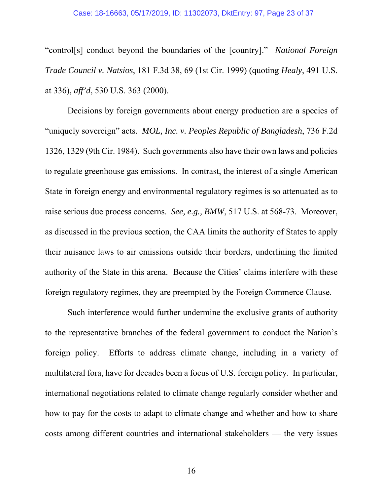#### Case: 18-16663, 05/17/2019, ID: 11302073, DktEntry: 97, Page 23 of 37

"control[s] conduct beyond the boundaries of the [country]." *National Foreign Trade Council v. Natsios*, 181 F.3d 38, 69 (1st Cir. 1999) (quoting *Healy*, 491 U.S. at 336), *aff'd*, 530 U.S. 363 (2000).

 Decisions by foreign governments about energy production are a species of "uniquely sovereign" acts. *MOL, Inc. v. Peoples Republic of Bangladesh*, 736 F.2d 1326, 1329 (9th Cir. 1984). Such governments also have their own laws and policies to regulate greenhouse gas emissions. In contrast, the interest of a single American State in foreign energy and environmental regulatory regimes is so attenuated as to raise serious due process concerns. *See, e.g., BMW*, 517 U.S. at 568-73. Moreover, as discussed in the previous section, the CAA limits the authority of States to apply their nuisance laws to air emissions outside their borders, underlining the limited authority of the State in this arena. Because the Cities' claims interfere with these foreign regulatory regimes, they are preempted by the Foreign Commerce Clause.

 Such interference would further undermine the exclusive grants of authority to the representative branches of the federal government to conduct the Nation's foreign policy. Efforts to address climate change, including in a variety of multilateral fora, have for decades been a focus of U.S. foreign policy. In particular, international negotiations related to climate change regularly consider whether and how to pay for the costs to adapt to climate change and whether and how to share costs among different countries and international stakeholders ⸻ the very issues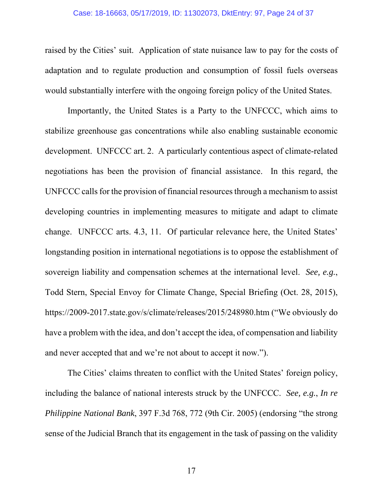raised by the Cities' suit. Application of state nuisance law to pay for the costs of adaptation and to regulate production and consumption of fossil fuels overseas would substantially interfere with the ongoing foreign policy of the United States.

 Importantly, the United States is a Party to the UNFCCC, which aims to stabilize greenhouse gas concentrations while also enabling sustainable economic development. UNFCCC art. 2. A particularly contentious aspect of climate-related negotiations has been the provision of financial assistance. In this regard, the UNFCCC calls for the provision of financial resources through a mechanism to assist developing countries in implementing measures to mitigate and adapt to climate change. UNFCCC arts. 4.3, 11. Of particular relevance here, the United States' longstanding position in international negotiations is to oppose the establishment of sovereign liability and compensation schemes at the international level. *See, e.g.*, Todd Stern, Special Envoy for Climate Change, Special Briefing (Oct. 28, 2015), https://2009-2017.state.gov/s/climate/releases/2015/248980.htm ("We obviously do have a problem with the idea, and don't accept the idea, of compensation and liability and never accepted that and we're not about to accept it now.").

 The Cities' claims threaten to conflict with the United States' foreign policy, including the balance of national interests struck by the UNFCCC. *See, e.g.*, *In re Philippine National Bank*, 397 F.3d 768, 772 (9th Cir. 2005) (endorsing "the strong sense of the Judicial Branch that its engagement in the task of passing on the validity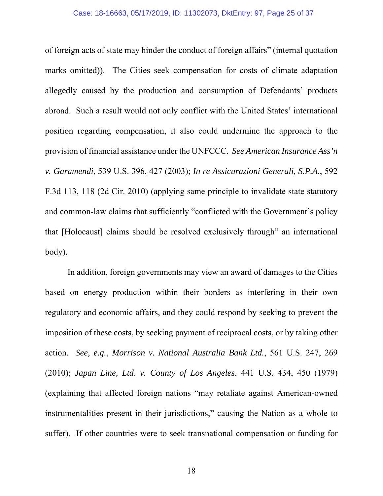#### Case: 18-16663, 05/17/2019, ID: 11302073, DktEntry: 97, Page 25 of 37

of foreign acts of state may hinder the conduct of foreign affairs" (internal quotation marks omitted)). The Cities seek compensation for costs of climate adaptation allegedly caused by the production and consumption of Defendants' products abroad. Such a result would not only conflict with the United States' international position regarding compensation, it also could undermine the approach to the provision of financial assistance under the UNFCCC. *See American Insurance Ass'n v. Garamendi*, 539 U.S. 396, 427 (2003); *In re Assicurazioni Generali, S.P.A.*, 592 F.3d 113, 118 (2d Cir. 2010) (applying same principle to invalidate state statutory and common-law claims that sufficiently "conflicted with the Government's policy that [Holocaust] claims should be resolved exclusively through" an international body).

 In addition, foreign governments may view an award of damages to the Cities based on energy production within their borders as interfering in their own regulatory and economic affairs, and they could respond by seeking to prevent the imposition of these costs, by seeking payment of reciprocal costs, or by taking other action. *See, e.g.*, *Morrison v. National Australia Bank Ltd.*, 561 U.S. 247, 269 (2010); *Japan Line, Ltd*. *v. County of Los Angeles*, 441 U.S. 434, 450 (1979) (explaining that affected foreign nations "may retaliate against American-owned instrumentalities present in their jurisdictions," causing the Nation as a whole to suffer). If other countries were to seek transnational compensation or funding for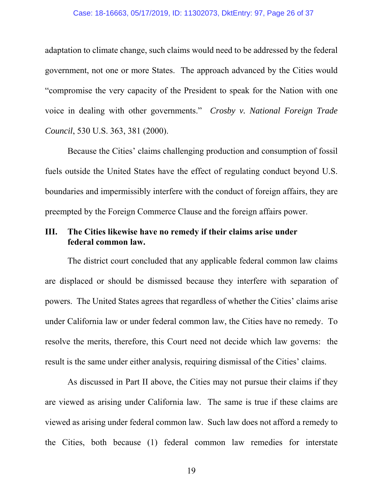#### Case: 18-16663, 05/17/2019, ID: 11302073, DktEntry: 97, Page 26 of 37

adaptation to climate change, such claims would need to be addressed by the federal government, not one or more States. The approach advanced by the Cities would "compromise the very capacity of the President to speak for the Nation with one voice in dealing with other governments." *Crosby v. National Foreign Trade Council*, 530 U.S. 363, 381 (2000).

 Because the Cities' claims challenging production and consumption of fossil fuels outside the United States have the effect of regulating conduct beyond U.S. boundaries and impermissibly interfere with the conduct of foreign affairs, they are preempted by the Foreign Commerce Clause and the foreign affairs power.

### **III. The Cities likewise have no remedy if their claims arise under federal common law.**

 The district court concluded that any applicable federal common law claims are displaced or should be dismissed because they interfere with separation of powers. The United States agrees that regardless of whether the Cities' claims arise under California law or under federal common law, the Cities have no remedy. To resolve the merits, therefore, this Court need not decide which law governs: the result is the same under either analysis, requiring dismissal of the Cities' claims.

 As discussed in Part II above, the Cities may not pursue their claims if they are viewed as arising under California law. The same is true if these claims are viewed as arising under federal common law. Such law does not afford a remedy to the Cities, both because (1) federal common law remedies for interstate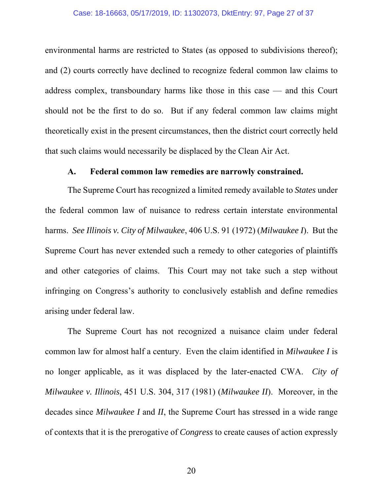#### Case: 18-16663, 05/17/2019, ID: 11302073, DktEntry: 97, Page 27 of 37

environmental harms are restricted to States (as opposed to subdivisions thereof); and (2) courts correctly have declined to recognize federal common law claims to address complex, transboundary harms like those in this case — and this Court should not be the first to do so. But if any federal common law claims might theoretically exist in the present circumstances, then the district court correctly held that such claims would necessarily be displaced by the Clean Air Act.

#### **A. Federal common law remedies are narrowly constrained.**

 The Supreme Court has recognized a limited remedy available to *States* under the federal common law of nuisance to redress certain interstate environmental harms. *See Illinois v. City of Milwaukee*, 406 U.S. 91 (1972) (*Milwaukee I*). But the Supreme Court has never extended such a remedy to other categories of plaintiffs and other categories of claims. This Court may not take such a step without infringing on Congress's authority to conclusively establish and define remedies arising under federal law.

 The Supreme Court has not recognized a nuisance claim under federal common law for almost half a century. Even the claim identified in *Milwaukee I* is no longer applicable, as it was displaced by the later-enacted CWA. *City of Milwaukee v. Illinois*, 451 U.S. 304, 317 (1981) (*Milwaukee II*). Moreover, in the decades since *Milwaukee I* and *II*, the Supreme Court has stressed in a wide range of contexts that it is the prerogative of *Congress* to create causes of action expressly

20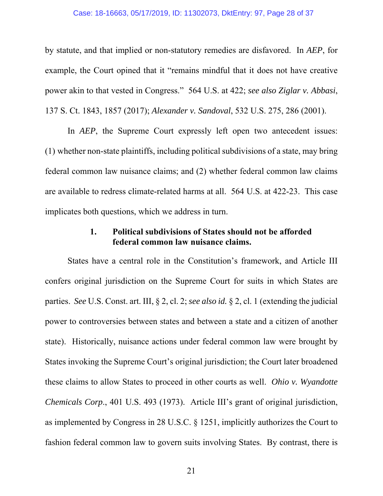#### Case: 18-16663, 05/17/2019, ID: 11302073, DktEntry: 97, Page 28 of 37

by statute, and that implied or non-statutory remedies are disfavored. In *AEP*, for example, the Court opined that it "remains mindful that it does not have creative power akin to that vested in Congress." 564 U.S. at 422; *see also Ziglar v. Abbasi*, 137 S. Ct. 1843, 1857 (2017); *Alexander v. Sandoval*, 532 U.S. 275, 286 (2001).

In *AEP*, the Supreme Court expressly left open two antecedent issues: (1) whether non-state plaintiffs, including political subdivisions of a state, may bring federal common law nuisance claims; and (2) whether federal common law claims are available to redress climate-related harms at all. 564 U.S. at 422-23. This case implicates both questions, which we address in turn.

### **1. Political subdivisions of States should not be afforded federal common law nuisance claims.**

 States have a central role in the Constitution's framework, and Article III confers original jurisdiction on the Supreme Court for suits in which States are parties. *See* U.S. Const. art. III, § 2, cl. 2; *see also id.* § 2, cl. 1 (extending the judicial power to controversies between states and between a state and a citizen of another state). Historically, nuisance actions under federal common law were brought by States invoking the Supreme Court's original jurisdiction; the Court later broadened these claims to allow States to proceed in other courts as well. *Ohio v. Wyandotte Chemicals Corp*., 401 U.S. 493 (1973). Article III's grant of original jurisdiction, as implemented by Congress in 28 U.S.C. § 1251, implicitly authorizes the Court to fashion federal common law to govern suits involving States. By contrast, there is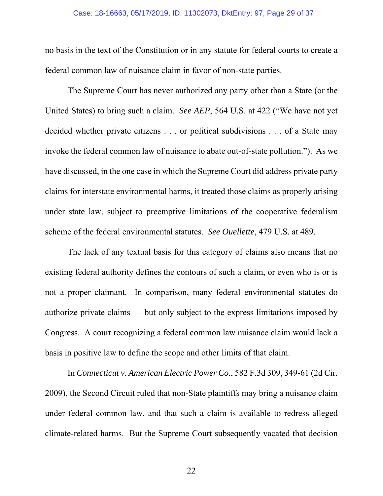#### Case: 18-16663, 05/17/2019, ID: 11302073, DktEntry: 97, Page 29 of 37

no basis in the text of the Constitution or in any statute for federal courts to create a federal common law of nuisance claim in favor of non-state parties.

The Supreme Court has never authorized any party other than a State (or the United States) to bring such a claim. *See AEP*, 564 U.S. at 422 ("We have not yet decided whether private citizens . . . or political subdivisions . . . of a State may invoke the federal common law of nuisance to abate out-of-state pollution."). As we have discussed, in the one case in which the Supreme Court did address private party claims for interstate environmental harms, it treated those claims as properly arising under state law, subject to preemptive limitations of the cooperative federalism scheme of the federal environmental statutes. *See Ouellette*, 479 U.S. at 489.

The lack of any textual basis for this category of claims also means that no existing federal authority defines the contours of such a claim, or even who is or is not a proper claimant. In comparison, many federal environmental statutes do authorize private claims — but only subject to the express limitations imposed by Congress. A court recognizing a federal common law nuisance claim would lack a basis in positive law to define the scope and other limits of that claim.

In *Connecticut v. American Electric Power Co.*, 582 F.3d 309, 349-61 (2d Cir. 2009), the Second Circuit ruled that non-State plaintiffs may bring a nuisance claim under federal common law, and that such a claim is available to redress alleged climate-related harms. But the Supreme Court subsequently vacated that decision

22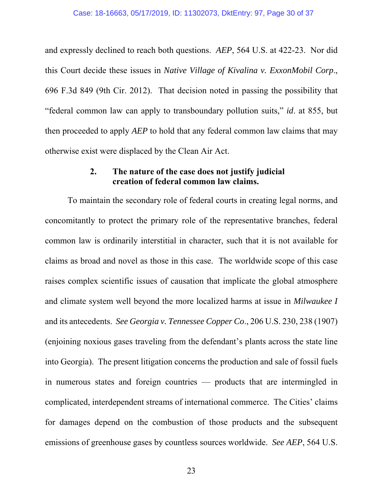and expressly declined to reach both questions. *AEP*, 564 U.S. at 422-23. Nor did this Court decide these issues in *Native Village of Kivalina v. ExxonMobil Corp*., 696 F.3d 849 (9th Cir. 2012). That decision noted in passing the possibility that "federal common law can apply to transboundary pollution suits," *id*. at 855, but then proceeded to apply *AEP* to hold that any federal common law claims that may otherwise exist were displaced by the Clean Air Act.

### **2. The nature of the case does not justify judicial creation of federal common law claims.**

To maintain the secondary role of federal courts in creating legal norms, and concomitantly to protect the primary role of the representative branches, federal common law is ordinarily interstitial in character, such that it is not available for claims as broad and novel as those in this case. The worldwide scope of this case raises complex scientific issues of causation that implicate the global atmosphere and climate system well beyond the more localized harms at issue in *Milwaukee I* and its antecedents. *See Georgia v. Tennessee Copper Co*., 206 U.S. 230, 238 (1907) (enjoining noxious gases traveling from the defendant's plants across the state line into Georgia). The present litigation concerns the production and sale of fossil fuels in numerous states and foreign countries — products that are intermingled in complicated, interdependent streams of international commerce. The Cities' claims for damages depend on the combustion of those products and the subsequent emissions of greenhouse gases by countless sources worldwide. *See AEP*, 564 U.S.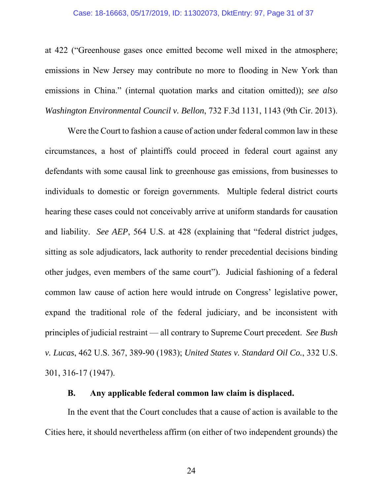at 422 ("Greenhouse gases once emitted become well mixed in the atmosphere; emissions in New Jersey may contribute no more to flooding in New York than emissions in China." (internal quotation marks and citation omitted)); *see also Washington Environmental Council v. Bellon*, 732 F.3d 1131, 1143 (9th Cir. 2013).

Were the Court to fashion a cause of action under federal common law in these circumstances, a host of plaintiffs could proceed in federal court against any defendants with some causal link to greenhouse gas emissions, from businesses to individuals to domestic or foreign governments. Multiple federal district courts hearing these cases could not conceivably arrive at uniform standards for causation and liability. *See AEP*, 564 U.S. at 428 (explaining that "federal district judges, sitting as sole adjudicators, lack authority to render precedential decisions binding other judges, even members of the same court"). Judicial fashioning of a federal common law cause of action here would intrude on Congress' legislative power, expand the traditional role of the federal judiciary, and be inconsistent with principles of judicial restraint — all contrary to Supreme Court precedent. *See Bush v. Lucas*, 462 U.S. 367, 389-90 (1983); *United States v. Standard Oil Co.*, 332 U.S. 301, 316-17 (1947).

#### **B. Any applicable federal common law claim is displaced.**

In the event that the Court concludes that a cause of action is available to the Cities here, it should nevertheless affirm (on either of two independent grounds) the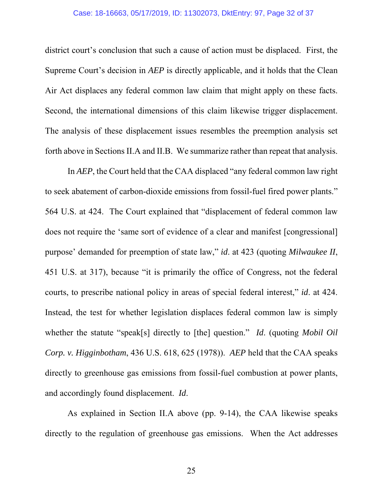#### Case: 18-16663, 05/17/2019, ID: 11302073, DktEntry: 97, Page 32 of 37

district court's conclusion that such a cause of action must be displaced. First, the Supreme Court's decision in *AEP* is directly applicable, and it holds that the Clean Air Act displaces any federal common law claim that might apply on these facts. Second, the international dimensions of this claim likewise trigger displacement. The analysis of these displacement issues resembles the preemption analysis set forth above in Sections II.A and II.B. We summarize rather than repeat that analysis.

In *AEP*, the Court held that the CAA displaced "any federal common law right to seek abatement of carbon-dioxide emissions from fossil-fuel fired power plants." 564 U.S. at 424. The Court explained that "displacement of federal common law does not require the 'same sort of evidence of a clear and manifest [congressional] purpose' demanded for preemption of state law," *id*. at 423 (quoting *Milwaukee II*, 451 U.S. at 317), because "it is primarily the office of Congress, not the federal courts, to prescribe national policy in areas of special federal interest," *id*. at 424. Instead, the test for whether legislation displaces federal common law is simply whether the statute "speak[s] directly to [the] question." *Id*. (quoting *Mobil Oil Corp. v. Higginbotham*, 436 U.S. 618, 625 (1978)). *AEP* held that the CAA speaks directly to greenhouse gas emissions from fossil-fuel combustion at power plants, and accordingly found displacement. *Id*.

As explained in Section II.A above (pp. 9-14), the CAA likewise speaks directly to the regulation of greenhouse gas emissions. When the Act addresses

25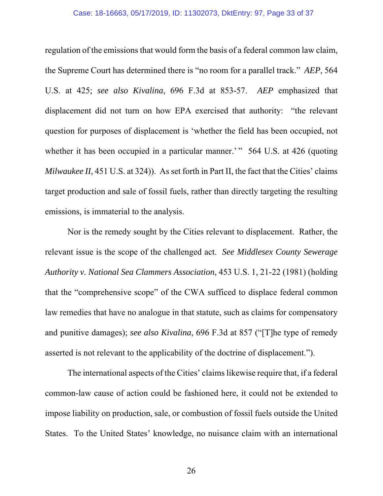#### Case: 18-16663, 05/17/2019, ID: 11302073, DktEntry: 97, Page 33 of 37

regulation of the emissions that would form the basis of a federal common law claim, the Supreme Court has determined there is "no room for a parallel track." *AEP*, 564 U.S. at 425; *see also Kivalina*, 696 F.3d at 853-57. *AEP* emphasized that displacement did not turn on how EPA exercised that authority: "the relevant question for purposes of displacement is 'whether the field has been occupied, not whether it has been occupied in a particular manner.' " 564 U.S. at 426 (quoting *Milwaukee II*, 451 U.S. at 324)). As set forth in Part II, the fact that the Cities' claims target production and sale of fossil fuels, rather than directly targeting the resulting emissions, is immaterial to the analysis.

Nor is the remedy sought by the Cities relevant to displacement. Rather, the relevant issue is the scope of the challenged act. *See Middlesex County Sewerage Authority v. National Sea Clammers Association*, 453 U.S. 1, 21-22 (1981) (holding that the "comprehensive scope" of the CWA sufficed to displace federal common law remedies that have no analogue in that statute, such as claims for compensatory and punitive damages); *see also Kivalina*, 696 F.3d at 857 ("[T]he type of remedy asserted is not relevant to the applicability of the doctrine of displacement.").

The international aspects of the Cities' claims likewise require that, if a federal common-law cause of action could be fashioned here, it could not be extended to impose liability on production, sale, or combustion of fossil fuels outside the United States. To the United States' knowledge, no nuisance claim with an international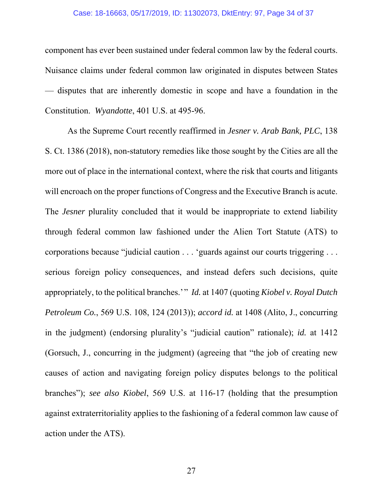#### Case: 18-16663, 05/17/2019, ID: 11302073, DktEntry: 97, Page 34 of 37

component has ever been sustained under federal common law by the federal courts. Nuisance claims under federal common law originated in disputes between States — disputes that are inherently domestic in scope and have a foundation in the Constitution. *Wyandotte*, 401 U.S. at 495-96.

As the Supreme Court recently reaffirmed in *Jesner v. Arab Bank, PLC*, 138 S. Ct. 1386 (2018), non-statutory remedies like those sought by the Cities are all the more out of place in the international context, where the risk that courts and litigants will encroach on the proper functions of Congress and the Executive Branch is acute. The *Jesner* plurality concluded that it would be inappropriate to extend liability through federal common law fashioned under the Alien Tort Statute (ATS) to corporations because "judicial caution . . . 'guards against our courts triggering . . . serious foreign policy consequences, and instead defers such decisions, quite appropriately, to the political branches.'" *Id.* at 1407 (quoting *Kiobel v. Royal Dutch Petroleum Co.*, 569 U.S. 108, 124 (2013)); *accord id.* at 1408 (Alito, J., concurring in the judgment) (endorsing plurality's "judicial caution" rationale); *id.* at 1412 (Gorsuch, J., concurring in the judgment) (agreeing that "the job of creating new causes of action and navigating foreign policy disputes belongs to the political branches"); *see also Kiobel*, 569 U.S. at 116-17 (holding that the presumption against extraterritoriality applies to the fashioning of a federal common law cause of action under the ATS).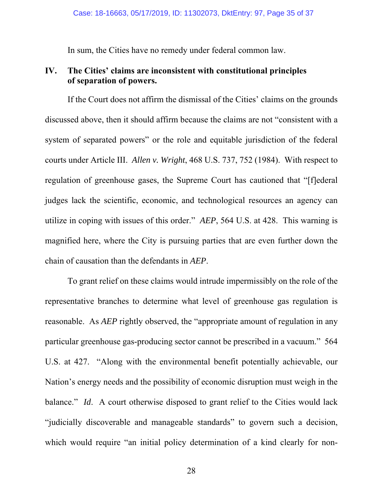In sum, the Cities have no remedy under federal common law.

### **IV. The Cities' claims are inconsistent with constitutional principles of separation of powers.**

 If the Court does not affirm the dismissal of the Cities' claims on the grounds discussed above, then it should affirm because the claims are not "consistent with a system of separated powers" or the role and equitable jurisdiction of the federal courts under Article III. *Allen v. Wright*, 468 U.S. 737, 752 (1984). With respect to regulation of greenhouse gases, the Supreme Court has cautioned that "[f]ederal judges lack the scientific, economic, and technological resources an agency can utilize in coping with issues of this order." *AEP*, 564 U.S. at 428. This warning is magnified here, where the City is pursuing parties that are even further down the chain of causation than the defendants in *AEP*.

To grant relief on these claims would intrude impermissibly on the role of the representative branches to determine what level of greenhouse gas regulation is reasonable. As *AEP* rightly observed, the "appropriate amount of regulation in any particular greenhouse gas-producing sector cannot be prescribed in a vacuum." 564 U.S. at 427. "Along with the environmental benefit potentially achievable, our Nation's energy needs and the possibility of economic disruption must weigh in the balance." *Id.* A court otherwise disposed to grant relief to the Cities would lack "judicially discoverable and manageable standards" to govern such a decision, which would require "an initial policy determination of a kind clearly for non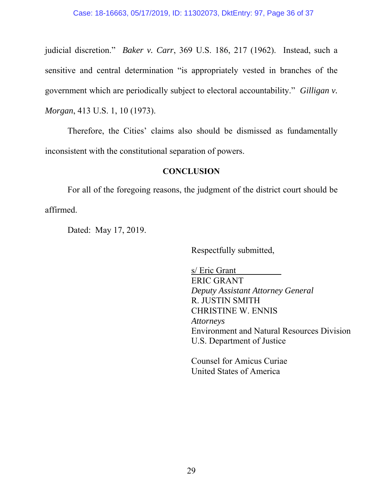judicial discretion." *Baker v. Carr*, 369 U.S. 186, 217 (1962). Instead, such a sensitive and central determination "is appropriately vested in branches of the government which are periodically subject to electoral accountability." *Gilligan v. Morgan*, 413 U.S. 1, 10 (1973).

Therefore, the Cities' claims also should be dismissed as fundamentally inconsistent with the constitutional separation of powers.

### **CONCLUSION**

 For all of the foregoing reasons, the judgment of the district court should be affirmed.

Dated: May 17, 2019.

Respectfully submitted,

s/ Eric Grant ERIC GRANT *Deputy Assistant Attorney General* R. JUSTIN SMITH CHRISTINE W. ENNIS *Attorneys*  Environment and Natural Resources Division U.S. Department of Justice

Counsel for Amicus Curiae United States of America